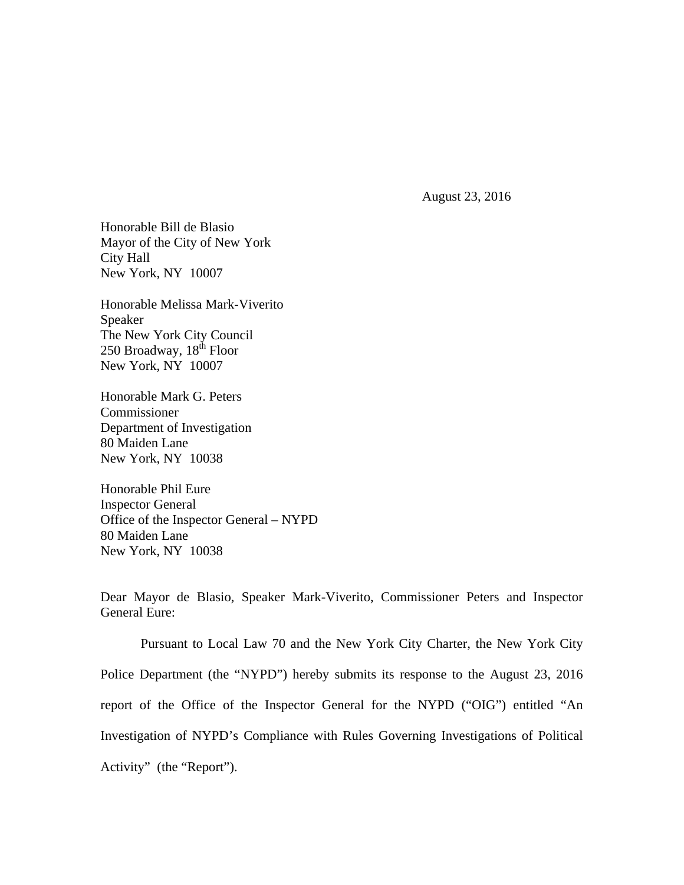August 23, 2016

Honorable Bill de Blasio Mayor of the City of New York City Hall New York, NY 10007

Honorable Melissa Mark-Viverito Speaker The New York City Council 250 Broadway,  $18<sup>th</sup>$  Floor New York, NY 10007

Honorable Mark G. Peters Commissioner Department of Investigation 80 Maiden Lane New York, NY 10038

Honorable Phil Eure Inspector General Office of the Inspector General – NYPD 80 Maiden Lane New York, NY 10038

Dear Mayor de Blasio, Speaker Mark-Viverito, Commissioner Peters and Inspector General Eure:

Pursuant to Local Law 70 and the New York City Charter, the New York City Police Department (the "NYPD") hereby submits its response to the August 23, 2016 report of the Office of the Inspector General for the NYPD ("OIG") entitled "An Investigation of NYPD's Compliance with Rules Governing Investigations of Political Activity" (the "Report").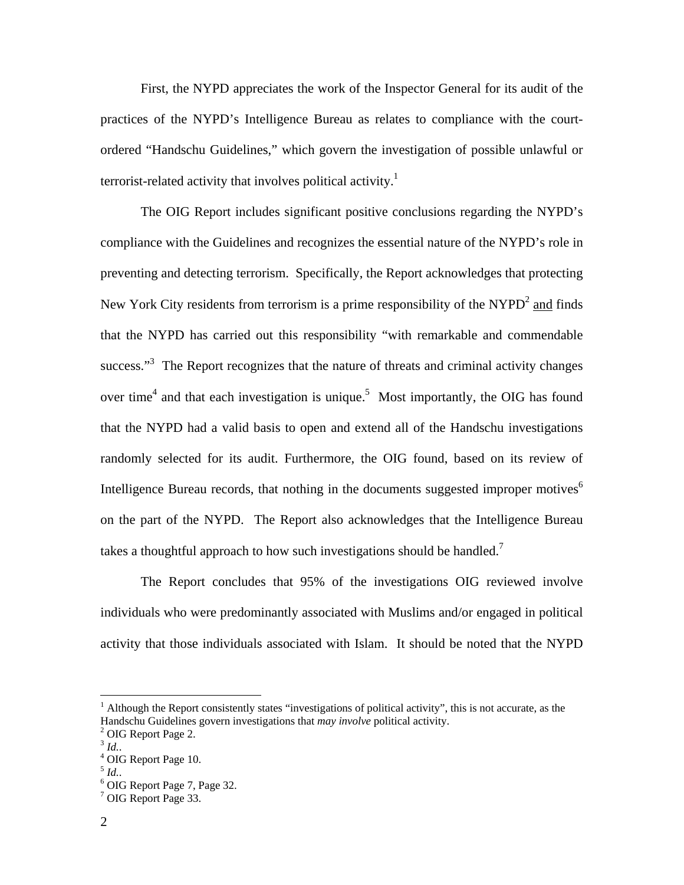First, the NYPD appreciates the work of the Inspector General for its audit of the practices of the NYPD's Intelligence Bureau as relates to compliance with the courtordered "Handschu Guidelines," which govern the investigation of possible unlawful or terrorist-related activity that involves political activity.<sup>1</sup>

The OIG Report includes significant positive conclusions regarding the NYPD's compliance with the Guidelines and recognizes the essential nature of the NYPD's role in preventing and detecting terrorism. Specifically, the Report acknowledges that protecting New York City residents from terrorism is a prime responsibility of the NYPD<sup>2</sup> and finds that the NYPD has carried out this responsibility "with remarkable and commendable success."<sup>3</sup> The Report recognizes that the nature of threats and criminal activity changes over time<sup>4</sup> and that each investigation is unique.<sup>5</sup> Most importantly, the OIG has found that the NYPD had a valid basis to open and extend all of the Handschu investigations randomly selected for its audit. Furthermore, the OIG found, based on its review of Intelligence Bureau records, that nothing in the documents suggested improper motives<sup>6</sup> on the part of the NYPD. The Report also acknowledges that the Intelligence Bureau takes a thoughtful approach to how such investigations should be handled.<sup>7</sup>

The Report concludes that 95% of the investigations OIG reviewed involve individuals who were predominantly associated with Muslims and/or engaged in political activity that those individuals associated with Islam. It should be noted that the NYPD

 $\overline{a}$ 

<sup>&</sup>lt;sup>1</sup> Although the Report consistently states "investigations of political activity", this is not accurate, as the Handschu Guidelines govern investigations that *may involve* political activity. 2

 $2$  OIG Report Page 2.

 $3$  *Id.*.

OIG Report Page 10.

 $<sup>5</sup>$  *Id.*.</sup>

<sup>&</sup>lt;sup>6</sup> OIG Report Page 7, Page 32.

<sup>&</sup>lt;sup>7</sup> OIG Report Page 33.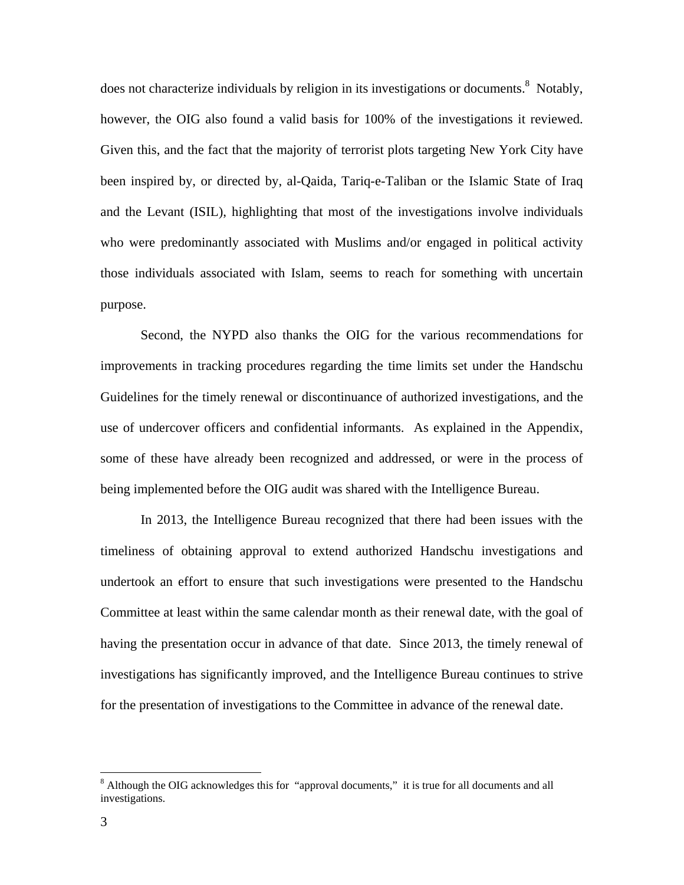does not characterize individuals by religion in its investigations or documents.<sup>8</sup> Notably, however, the OIG also found a valid basis for 100% of the investigations it reviewed. Given this, and the fact that the majority of terrorist plots targeting New York City have been inspired by, or directed by, al-Qaida, Tariq-e-Taliban or the Islamic State of Iraq and the Levant (ISIL), highlighting that most of the investigations involve individuals who were predominantly associated with Muslims and/or engaged in political activity those individuals associated with Islam, seems to reach for something with uncertain purpose.

Second, the NYPD also thanks the OIG for the various recommendations for improvements in tracking procedures regarding the time limits set under the Handschu Guidelines for the timely renewal or discontinuance of authorized investigations, and the use of undercover officers and confidential informants. As explained in the Appendix, some of these have already been recognized and addressed, or were in the process of being implemented before the OIG audit was shared with the Intelligence Bureau.

In 2013, the Intelligence Bureau recognized that there had been issues with the timeliness of obtaining approval to extend authorized Handschu investigations and undertook an effort to ensure that such investigations were presented to the Handschu Committee at least within the same calendar month as their renewal date, with the goal of having the presentation occur in advance of that date. Since 2013, the timely renewal of investigations has significantly improved, and the Intelligence Bureau continues to strive for the presentation of investigations to the Committee in advance of the renewal date.

1

<sup>&</sup>lt;sup>8</sup> Although the OIG acknowledges this for "approval documents," it is true for all documents and all investigations.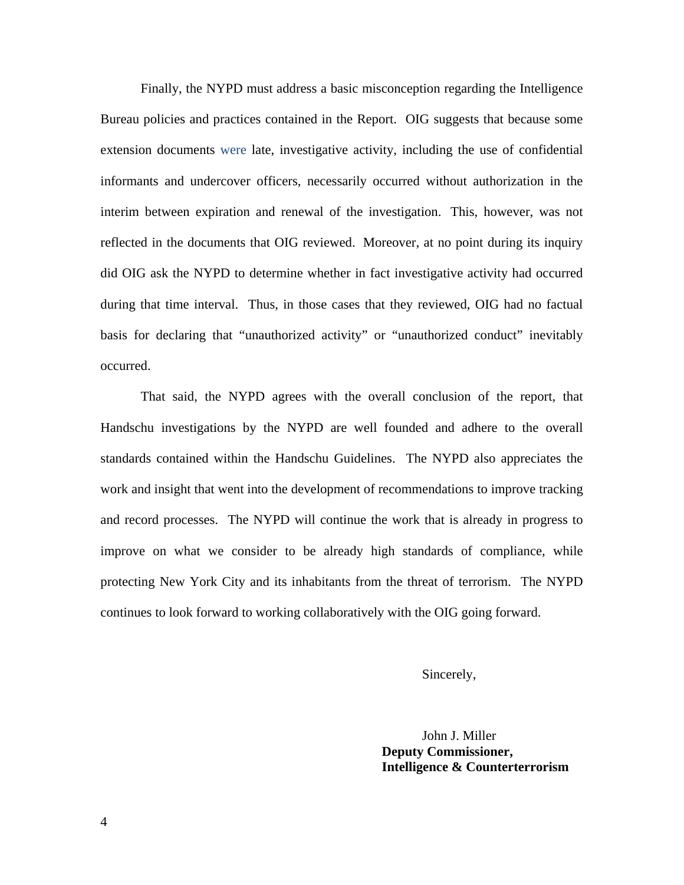Finally, the NYPD must address a basic misconception regarding the Intelligence Bureau policies and practices contained in the Report. OIG suggests that because some extension documents were late, investigative activity, including the use of confidential informants and undercover officers, necessarily occurred without authorization in the interim between expiration and renewal of the investigation. This, however, was not reflected in the documents that OIG reviewed. Moreover, at no point during its inquiry did OIG ask the NYPD to determine whether in fact investigative activity had occurred during that time interval. Thus, in those cases that they reviewed, OIG had no factual basis for declaring that "unauthorized activity" or "unauthorized conduct" inevitably occurred.

 That said, the NYPD agrees with the overall conclusion of the report, that Handschu investigations by the NYPD are well founded and adhere to the overall standards contained within the Handschu Guidelines. The NYPD also appreciates the work and insight that went into the development of recommendations to improve tracking and record processes. The NYPD will continue the work that is already in progress to improve on what we consider to be already high standards of compliance, while protecting New York City and its inhabitants from the threat of terrorism. The NYPD continues to look forward to working collaboratively with the OIG going forward.

Sincerely,

 John J. Miller **Deputy Commissioner, Intelligence & Counterterrorism**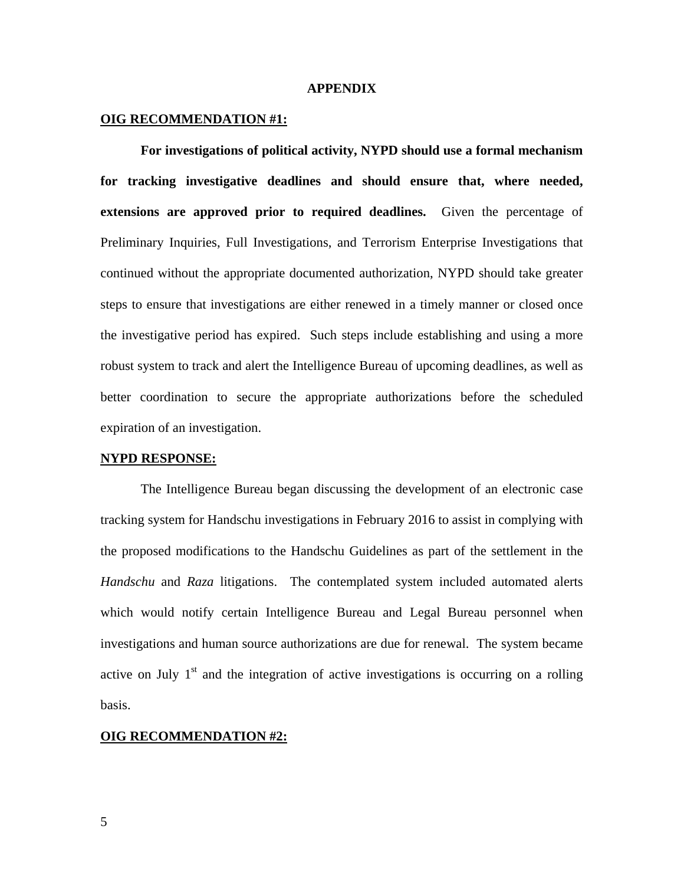## **APPENDIX**

# **OIG RECOMMENDATION #1:**

**For investigations of political activity, NYPD should use a formal mechanism for tracking investigative deadlines and should ensure that, where needed, extensions are approved prior to required deadlines.** Given the percentage of Preliminary Inquiries, Full Investigations, and Terrorism Enterprise Investigations that continued without the appropriate documented authorization, NYPD should take greater steps to ensure that investigations are either renewed in a timely manner or closed once the investigative period has expired. Such steps include establishing and using a more robust system to track and alert the Intelligence Bureau of upcoming deadlines, as well as better coordination to secure the appropriate authorizations before the scheduled expiration of an investigation.

#### **NYPD RESPONSE:**

The Intelligence Bureau began discussing the development of an electronic case tracking system for Handschu investigations in February 2016 to assist in complying with the proposed modifications to the Handschu Guidelines as part of the settlement in the *Handschu* and *Raza* litigations. The contemplated system included automated alerts which would notify certain Intelligence Bureau and Legal Bureau personnel when investigations and human source authorizations are due for renewal. The system became active on July  $1<sup>st</sup>$  and the integration of active investigations is occurring on a rolling basis.

# **OIG RECOMMENDATION #2:**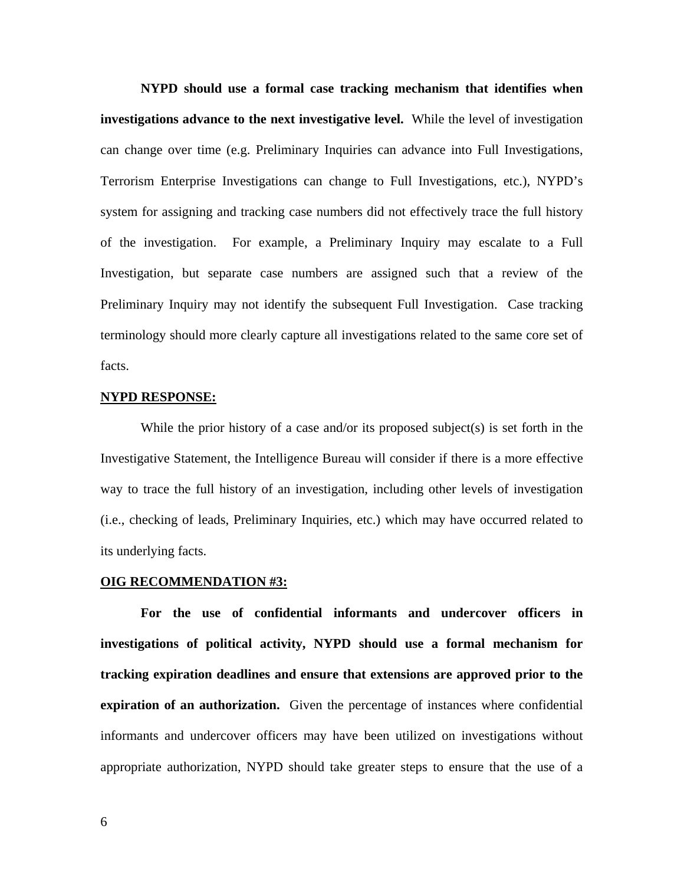**NYPD should use a formal case tracking mechanism that identifies when investigations advance to the next investigative level.** While the level of investigation can change over time (e.g. Preliminary Inquiries can advance into Full Investigations, Terrorism Enterprise Investigations can change to Full Investigations, etc.), NYPD's system for assigning and tracking case numbers did not effectively trace the full history of the investigation. For example, a Preliminary Inquiry may escalate to a Full Investigation, but separate case numbers are assigned such that a review of the Preliminary Inquiry may not identify the subsequent Full Investigation. Case tracking terminology should more clearly capture all investigations related to the same core set of facts.

## **NYPD RESPONSE:**

While the prior history of a case and/or its proposed subject(s) is set forth in the Investigative Statement, the Intelligence Bureau will consider if there is a more effective way to trace the full history of an investigation, including other levels of investigation (i.e., checking of leads, Preliminary Inquiries, etc.) which may have occurred related to its underlying facts.

# **OIG RECOMMENDATION #3:**

**For the use of confidential informants and undercover officers in investigations of political activity, NYPD should use a formal mechanism for tracking expiration deadlines and ensure that extensions are approved prior to the expiration of an authorization.** Given the percentage of instances where confidential informants and undercover officers may have been utilized on investigations without appropriate authorization, NYPD should take greater steps to ensure that the use of a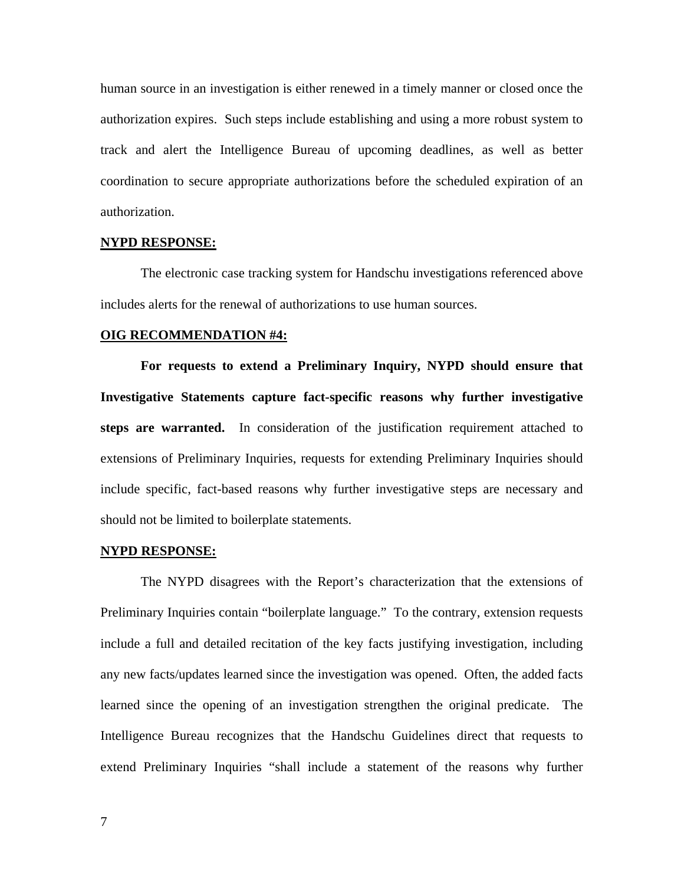human source in an investigation is either renewed in a timely manner or closed once the authorization expires. Such steps include establishing and using a more robust system to track and alert the Intelligence Bureau of upcoming deadlines, as well as better coordination to secure appropriate authorizations before the scheduled expiration of an authorization.

# **NYPD RESPONSE:**

 The electronic case tracking system for Handschu investigations referenced above includes alerts for the renewal of authorizations to use human sources.

#### **OIG RECOMMENDATION #4:**

**For requests to extend a Preliminary Inquiry, NYPD should ensure that Investigative Statements capture fact-specific reasons why further investigative steps are warranted.** In consideration of the justification requirement attached to extensions of Preliminary Inquiries, requests for extending Preliminary Inquiries should include specific, fact-based reasons why further investigative steps are necessary and should not be limited to boilerplate statements.

#### **NYPD RESPONSE:**

The NYPD disagrees with the Report's characterization that the extensions of Preliminary Inquiries contain "boilerplate language." To the contrary, extension requests include a full and detailed recitation of the key facts justifying investigation, including any new facts/updates learned since the investigation was opened. Often, the added facts learned since the opening of an investigation strengthen the original predicate. The Intelligence Bureau recognizes that the Handschu Guidelines direct that requests to extend Preliminary Inquiries "shall include a statement of the reasons why further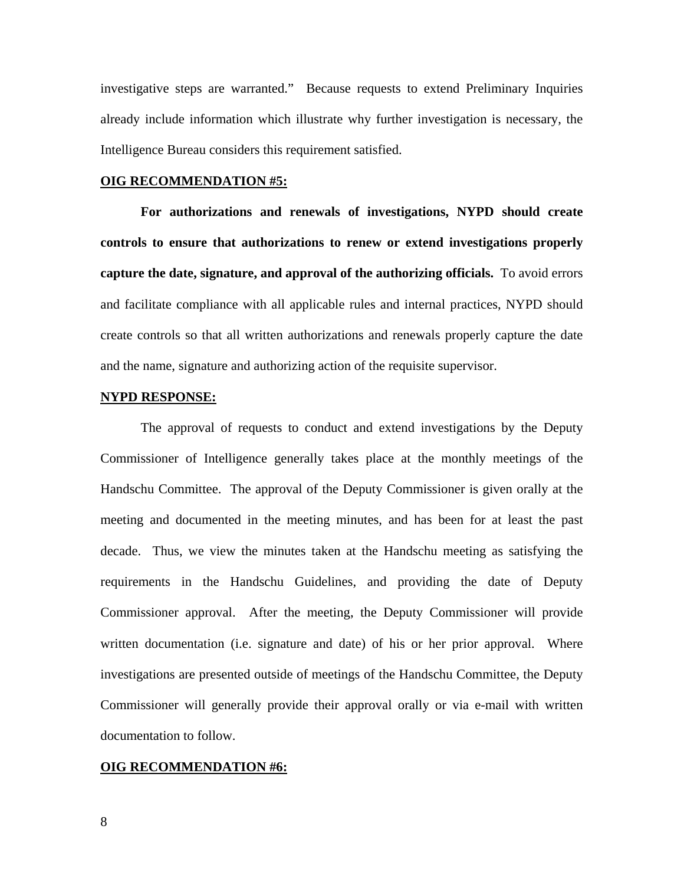investigative steps are warranted." Because requests to extend Preliminary Inquiries already include information which illustrate why further investigation is necessary, the Intelligence Bureau considers this requirement satisfied.

## **OIG RECOMMENDATION #5:**

**For authorizations and renewals of investigations, NYPD should create controls to ensure that authorizations to renew or extend investigations properly capture the date, signature, and approval of the authorizing officials.** To avoid errors and facilitate compliance with all applicable rules and internal practices, NYPD should create controls so that all written authorizations and renewals properly capture the date and the name, signature and authorizing action of the requisite supervisor.

## **NYPD RESPONSE:**

The approval of requests to conduct and extend investigations by the Deputy Commissioner of Intelligence generally takes place at the monthly meetings of the Handschu Committee. The approval of the Deputy Commissioner is given orally at the meeting and documented in the meeting minutes, and has been for at least the past decade. Thus, we view the minutes taken at the Handschu meeting as satisfying the requirements in the Handschu Guidelines, and providing the date of Deputy Commissioner approval. After the meeting, the Deputy Commissioner will provide written documentation (i.e. signature and date) of his or her prior approval. Where investigations are presented outside of meetings of the Handschu Committee, the Deputy Commissioner will generally provide their approval orally or via e-mail with written documentation to follow.

#### **OIG RECOMMENDATION #6:**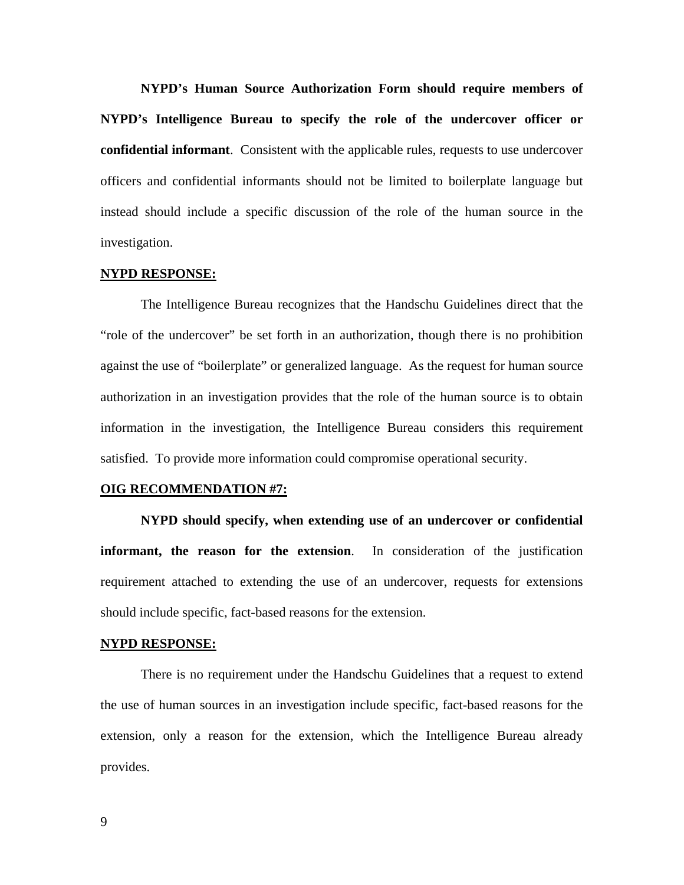**NYPD's Human Source Authorization Form should require members of NYPD's Intelligence Bureau to specify the role of the undercover officer or confidential informant**. Consistent with the applicable rules, requests to use undercover officers and confidential informants should not be limited to boilerplate language but instead should include a specific discussion of the role of the human source in the investigation.

#### **NYPD RESPONSE:**

The Intelligence Bureau recognizes that the Handschu Guidelines direct that the "role of the undercover" be set forth in an authorization, though there is no prohibition against the use of "boilerplate" or generalized language. As the request for human source authorization in an investigation provides that the role of the human source is to obtain information in the investigation, the Intelligence Bureau considers this requirement satisfied. To provide more information could compromise operational security.

#### **OIG RECOMMENDATION #7:**

**NYPD should specify, when extending use of an undercover or confidential informant, the reason for the extension**. In consideration of the justification requirement attached to extending the use of an undercover, requests for extensions should include specific, fact-based reasons for the extension.

#### **NYPD RESPONSE:**

There is no requirement under the Handschu Guidelines that a request to extend the use of human sources in an investigation include specific, fact-based reasons for the extension, only a reason for the extension, which the Intelligence Bureau already provides.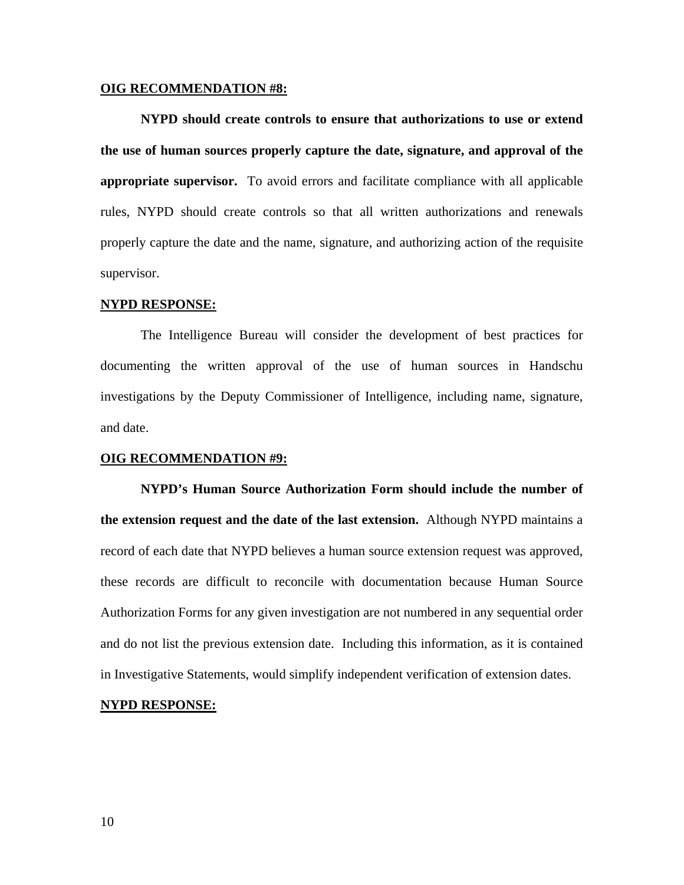#### **OIG RECOMMENDATION #8:**

**NYPD should create controls to ensure that authorizations to use or extend the use of human sources properly capture the date, signature, and approval of the appropriate supervisor.** To avoid errors and facilitate compliance with all applicable rules, NYPD should create controls so that all written authorizations and renewals properly capture the date and the name, signature, and authorizing action of the requisite supervisor.

#### **NYPD RESPONSE:**

The Intelligence Bureau will consider the development of best practices for documenting the written approval of the use of human sources in Handschu investigations by the Deputy Commissioner of Intelligence, including name, signature, and date.

#### **OIG RECOMMENDATION #9:**

**NYPD's Human Source Authorization Form should include the number of the extension request and the date of the last extension.** Although NYPD maintains a record of each date that NYPD believes a human source extension request was approved, these records are difficult to reconcile with documentation because Human Source Authorization Forms for any given investigation are not numbered in any sequential order and do not list the previous extension date. Including this information, as it is contained in Investigative Statements, would simplify independent verification of extension dates.

## **NYPD RESPONSE:**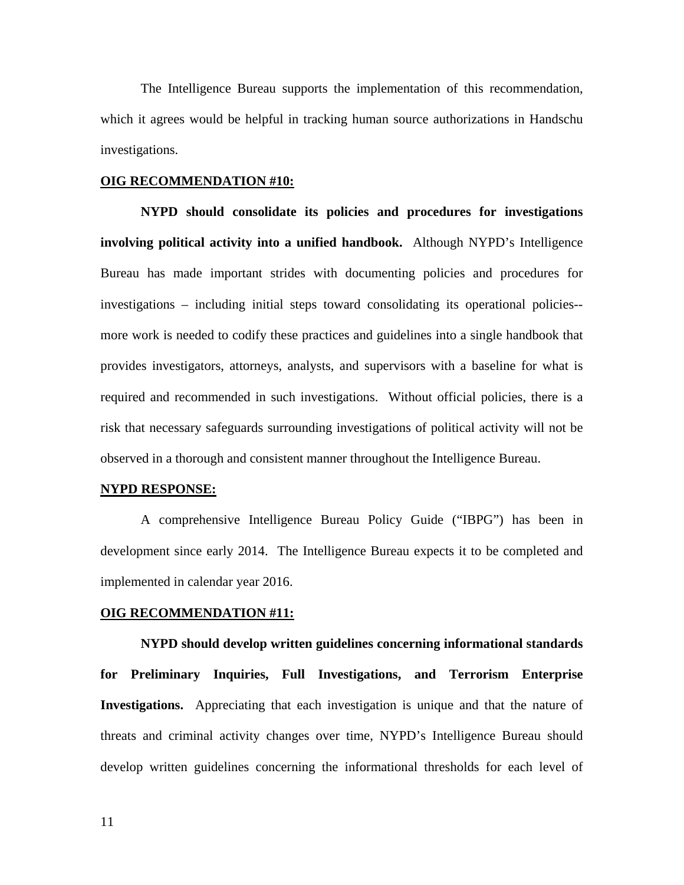The Intelligence Bureau supports the implementation of this recommendation, which it agrees would be helpful in tracking human source authorizations in Handschu investigations.

# **OIG RECOMMENDATION #10:**

**NYPD should consolidate its policies and procedures for investigations involving political activity into a unified handbook.** Although NYPD's Intelligence Bureau has made important strides with documenting policies and procedures for investigations – including initial steps toward consolidating its operational policies- more work is needed to codify these practices and guidelines into a single handbook that provides investigators, attorneys, analysts, and supervisors with a baseline for what is required and recommended in such investigations. Without official policies, there is a risk that necessary safeguards surrounding investigations of political activity will not be observed in a thorough and consistent manner throughout the Intelligence Bureau.

#### **NYPD RESPONSE:**

A comprehensive Intelligence Bureau Policy Guide ("IBPG") has been in development since early 2014. The Intelligence Bureau expects it to be completed and implemented in calendar year 2016.

#### **OIG RECOMMENDATION #11:**

**NYPD should develop written guidelines concerning informational standards for Preliminary Inquiries, Full Investigations, and Terrorism Enterprise Investigations.** Appreciating that each investigation is unique and that the nature of threats and criminal activity changes over time, NYPD's Intelligence Bureau should develop written guidelines concerning the informational thresholds for each level of